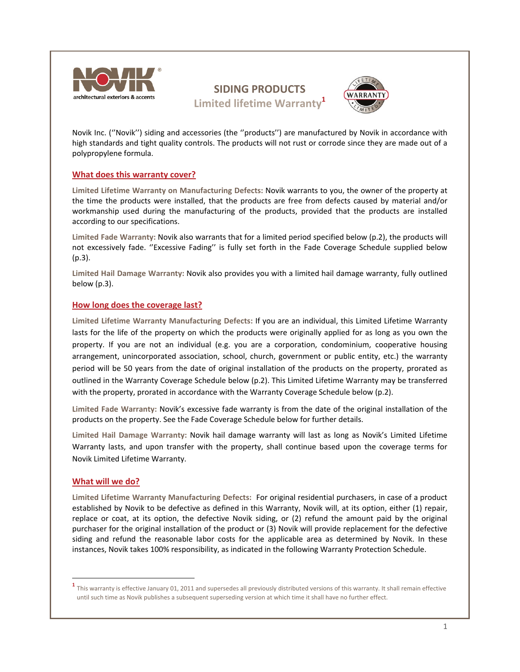

# **SIDING PRODUCTS Limited lifetime Warranty<sup>1</sup>**



Novik Inc. (''Novik'') siding and accessories (the ''products'') are manufactured by Novik in accordance with high standards and tight quality controls. The products will not rust or corrode since they are made out of a polypropylene formula.

# **What does this warranty cover?**

**Limited Lifetime Warranty on Manufacturing Defects:** Novik warrants to you, the owner of the property at the time the products were installed, that the products are free from defects caused by material and/or workmanship used during the manufacturing of the products, provided that the products are installed according to our specifications.

**Limited Fade Warranty:** Novik also warrants that for a limited period specified below (p.2), the products will not excessively fade. ''Excessive Fading'' is fully set forth in the Fade Coverage Schedule supplied below (p.3).

**Limited Hail Damage Warranty:** Novik also provides you with a limited hail damage warranty, fully outlined below (p.3).

# **How long does the coverage last?**

**Limited Lifetime Warranty Manufacturing Defects:** If you are an individual, this Limited Lifetime Warranty lasts for the life of the property on which the products were originally applied for as long as you own the property. If you are not an individual (e.g. you are a corporation, condominium, cooperative housing arrangement, unincorporated association, school, church, government or public entity, etc.) the warranty period will be 50 years from the date of original installation of the products on the property, prorated as outlined in the Warranty Coverage Schedule below (p.2). This Limited Lifetime Warranty may be transferred with the property, prorated in accordance with the Warranty Coverage Schedule below (p.2).

**Limited Fade Warranty:** Novik's excessive fade warranty is from the date of the original installation of the products on the property. See the Fade Coverage Schedule below for further details.

**Limited Hail Damage Warranty:** Novik hail damage warranty will last as long as Novik's Limited Lifetime Warranty lasts, and upon transfer with the property, shall continue based upon the coverage terms for Novik Limited Lifetime Warranty.

# **What will we do?**

**Limited Lifetime Warranty Manufacturing Defects:** For original residential purchasers, in case of a product established by Novik to be defective as defined in this Warranty, Novik will, at its option, either (1) repair, replace or coat, at its option, the defective Novik siding, or (2) refund the amount paid by the original purchaser for the original installation of the product or (3) Novik will provide replacement for the defective siding and refund the reasonable labor costs for the applicable area as determined by Novik. In these instances, Novik takes 100% responsibility, as indicated in the following Warranty Protection Schedule.

**<sup>1</sup>** This warranty is effective January 01, <sup>2011</sup> and supersedes all previously distributed versions of this warranty. It shall remain effective until such time as Novik publishes a subsequent superseding version at which time it shall have no further effect.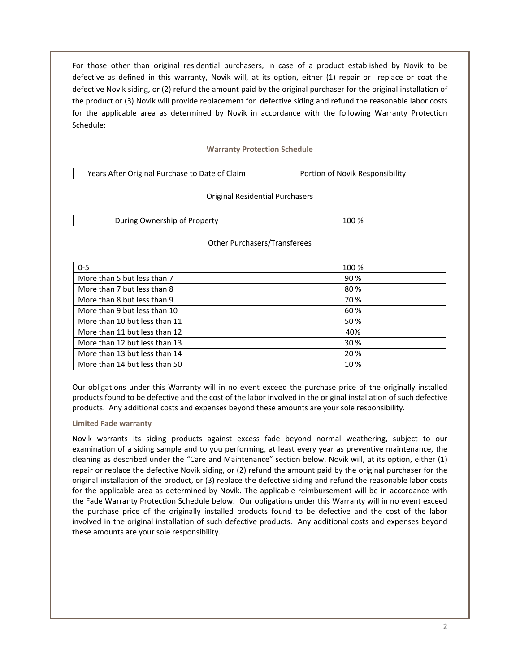For those other than original residential purchasers, in case of a product established by Novik to be defective as defined in this warranty, Novik will, at its option, either (1) repair or replace or coat the defective Novik siding, or (2) refund the amount paid by the original purchaser for the original installation of the product or (3) Novik will provide replacement for defective siding and refund the reasonable labor costs for the applicable area as determined by Novik in accordance with the following Warranty Protection Schedule:

# **Warranty Protection Schedule**

| Years After Original Purchase to Date of Claim<br>Portion of Novik Responsibility |  |  |
|-----------------------------------------------------------------------------------|--|--|
|-----------------------------------------------------------------------------------|--|--|

#### Original Residential Purchasers

| . Ownership of Property<br>During | 100% |
|-----------------------------------|------|
|-----------------------------------|------|

| $0 - 5$                       | 100 % |
|-------------------------------|-------|
| More than 5 but less than 7   | 90 %  |
| More than 7 but less than 8   | 80%   |
| More than 8 but less than 9   | 70 %  |
| More than 9 but less than 10  | 60 %  |
| More than 10 but less than 11 | 50 %  |
| More than 11 but less than 12 | 40%   |
| More than 12 but less than 13 | 30 %  |
| More than 13 but less than 14 | 20 %  |
| More than 14 but less than 50 | 10 %  |

#### Other Purchasers/Transferees

Our obligations under this Warranty will in no event exceed the purchase price of the originally installed products found to be defective and the cost of the labor involved in the original installation of such defective products. Any additional costs and expenses beyond these amounts are your sole responsibility.

#### **Limited Fade warranty**

Novik warrants its siding products against excess fade beyond normal weathering, subject to our examination of a siding sample and to you performing, at least every year as preventive maintenance, the cleaning as described under the "Care and Maintenance" section below. Novik will, at its option, either (1) repair or replace the defective Novik siding, or (2) refund the amount paid by the original purchaser for the original installation of the product, or (3) replace the defective siding and refund the reasonable labor costs for the applicable area as determined by Novik. The applicable reimbursement will be in accordance with the Fade Warranty Protection Schedule below. Our obligations under this Warranty will in no event exceed the purchase price of the originally installed products found to be defective and the cost of the labor involved in the original installation of such defective products. Any additional costs and expenses beyond these amounts are your sole responsibility.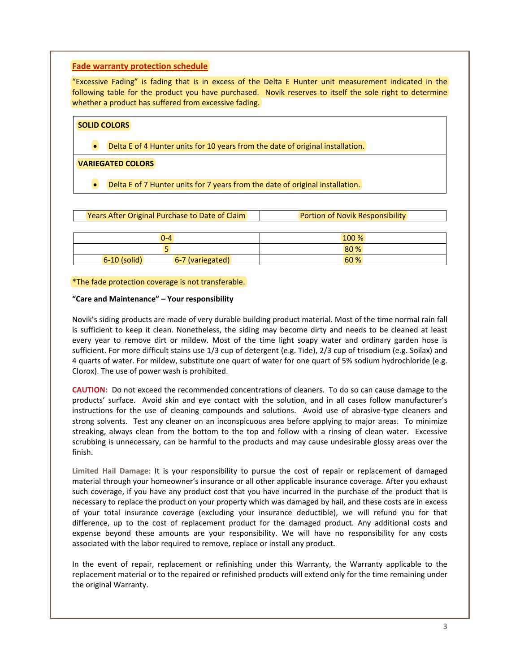# **Fade warranty protection schedule**

"Excessive Fading" is fading that is in excess of the Delta E Hunter unit measurement indicated in the following table for the product you have purchased. Novik reserves to itself the sole right to determine whether a product has suffered from excessive fading.

| Delta E of 4 Hunter units for 10 years from the date of original installation.<br>$\bullet$ |                          | <b>SOLID COLORS</b> |  |  |  |
|---------------------------------------------------------------------------------------------|--------------------------|---------------------|--|--|--|
|                                                                                             |                          |                     |  |  |  |
|                                                                                             | <b>VARIEGATED COLORS</b> |                     |  |  |  |

Delta E of 7 Hunter units for 7 years from the date of original installation.

|                | $0 - 4$          | 100 % |
|----------------|------------------|-------|
|                |                  | 80 %  |
| $6-10$ (solid) | 6-7 (variegated) | 60 %  |

#### \*The fade protection coverage is not transferable.

#### **"Care and Maintenance" – Your responsibility**

Novik's siding products are made of very durable building product material. Most of the time normal rain fall is sufficient to keep it clean. Nonetheless, the siding may become dirty and needs to be cleaned at least every year to remove dirt or mildew. Most of the time light soapy water and ordinary garden hose is sufficient. For more difficult stains use 1/3 cup of detergent (e.g. Tide), 2/3 cup of trisodium (e.g. Soilax) and 4 quarts of water. For mildew, substitute one quart of water for one quart of 5% sodium hydrochloride (e.g. Clorox). The use of power wash is prohibited.

**CAUTION:** Do not exceed the recommended concentrations of cleaners. To do so can cause damage to the products' surface. Avoid skin and eye contact with the solution, and in all cases follow manufacturer's instructions for the use of cleaning compounds and solutions. Avoid use of abrasive-type cleaners and strong solvents. Test any cleaner on an inconspicuous area before applying to major areas. To minimize streaking, always clean from the bottom to the top and follow with a rinsing of clean water. Excessive scrubbing is unnecessary, can be harmful to the products and may cause undesirable glossy areas over the finish.

**Limited Hail Damage:** It is your responsibility to pursue the cost of repair or replacement of damaged material through your homeowner's insurance or all other applicable insurance coverage. After you exhaust such coverage, if you have any product cost that you have incurred in the purchase of the product that is necessary to replace the product on your property which was damaged by hail, and these costs are in excess of your total insurance coverage (excluding your insurance deductible), we will refund you for that difference, up to the cost of replacement product for the damaged product. Any additional costs and expense beyond these amounts are your responsibility. We will have no responsibility for any costs associated with the labor required to remove, replace or install any product.

In the event of repair, replacement or refinishing under this Warranty, the Warranty applicable to the replacement material or to the repaired or refinished products will extend only for the time remaining under the original Warranty.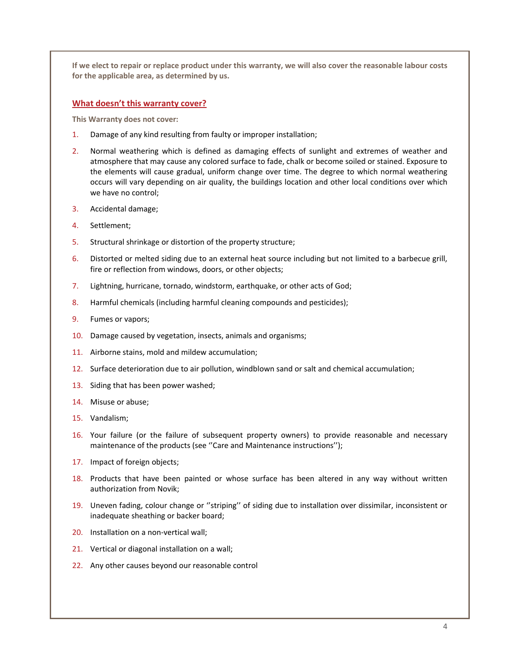If we elect to repair or replace product under this warranty, we will also cover the reasonable labour costs **for the applicable area, as determined by us.**

# **What doesn't this warranty cover?**

**This Warranty does not cover:**

- 1. Damage of any kind resulting from faulty or improper installation;
- 2. Normal weathering which is defined as damaging effects of sunlight and extremes of weather and atmosphere that may cause any colored surface to fade, chalk or become soiled or stained. Exposure to the elements will cause gradual, uniform change over time. The degree to which normal weathering occurs will vary depending on air quality, the buildings location and other local conditions over which we have no control;
- 3. Accidental damage;
- 4. Settlement;
- 5. Structural shrinkage or distortion of the property structure;
- 6. Distorted or melted siding due to an external heat source including but not limited to a barbecue grill, fire or reflection from windows, doors, or other objects;
- 7. Lightning, hurricane, tornado, windstorm, earthquake, or other acts of God;
- 8. Harmful chemicals (including harmful cleaning compounds and pesticides);
- 9. Fumes or vapors;
- 10. Damage caused by vegetation, insects, animals and organisms;
- 11. Airborne stains, mold and mildew accumulation;
- 12. Surface deterioration due to air pollution, windblown sand or salt and chemical accumulation;
- 13. Siding that has been power washed;
- 14. Misuse or abuse;
- 15. Vandalism;
- 16. Your failure (or the failure of subsequent property owners) to provide reasonable and necessary maintenance of the products (see "Care and Maintenance instructions");
- 17. Impact of foreign objects;
- 18. Products that have been painted or whose surface has been altered in any way without written authorization from Novik;
- 19. Uneven fading, colour change or ''striping'' of siding due to installation over dissimilar, inconsistent or inadequate sheathing or backer board;
- 20. Installation on a non‐vertical wall;
- 21. Vertical or diagonal installation on a wall;
- 22. Any other causes beyond our reasonable control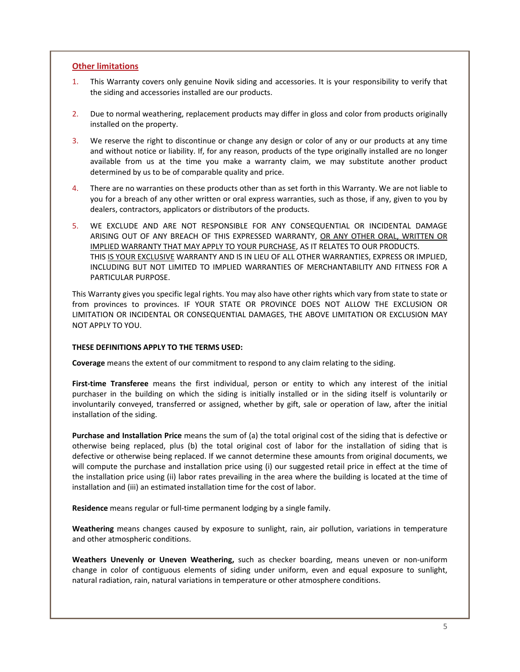# **Other limitations**

- 1. This Warranty covers only genuine Novik siding and accessories. It is your responsibility to verify that the siding and accessories installed are our products.
- 2. Due to normal weathering, replacement products may differ in gloss and color from products originally installed on the property.
- 3. We reserve the right to discontinue or change any design or color of any or our products at any time and without notice or liability. If, for any reason, products of the type originally installed are no longer available from us at the time you make a warranty claim, we may substitute another product determined by us to be of comparable quality and price.
- 4. There are no warranties on these products other than as set forth in this Warranty. We are not liable to you for a breach of any other written or oral express warranties, such as those, if any, given to you by dealers, contractors, applicators or distributors of the products.
- 5. WE EXCLUDE AND ARE NOT RESPONSIBLE FOR ANY CONSEQUENTIAL OR INCIDENTAL DAMAGE ARISING OUT OF ANY BREACH OF THIS EXPRESSED WARRANTY, OR ANY OTHER ORAL, WRITTEN OR IMPLIED WARRANTY THAT MAY APPLY TO YOUR PURCHASE, AS IT RELATES TO OUR PRODUCTS. THIS IS YOUR EXCLUSIVE WARRANTY AND IS IN LIEU OF ALL OTHER WARRANTIES, EXPRESS OR IMPLIED, INCLUDING BUT NOT LIMITED TO IMPLIED WARRANTIES OF MERCHANTABILITY AND FITNESS FOR A PARTICULAR PURPOSE.

This Warranty gives you specific legal rights. You may also have other rights which vary from state to state or from provinces to provinces. IF YOUR STATE OR PROVINCE DOES NOT ALLOW THE EXCLUSION OR LIMITATION OR INCIDENTAL OR CONSEQUENTIAL DAMAGES, THE ABOVE LIMITATION OR EXCLUSION MAY NOT APPLY TO YOU.

# **THESE DEFINITIONS APPLY TO THE TERMS USED:**

**Coverage** means the extent of our commitment to respond to any claim relating to the siding.

**First‐time Transferee** means the first individual, person or entity to which any interest of the initial purchaser in the building on which the siding is initially installed or in the siding itself is voluntarily or involuntarily conveyed, transferred or assigned, whether by gift, sale or operation of law, after the initial installation of the siding.

**Purchase and Installation Price** means the sum of (a) the total original cost of the siding that is defective or otherwise being replaced, plus (b) the total original cost of labor for the installation of siding that is defective or otherwise being replaced. If we cannot determine these amounts from original documents, we will compute the purchase and installation price using (i) our suggested retail price in effect at the time of the installation price using (ii) labor rates prevailing in the area where the building is located at the time of installation and (iii) an estimated installation time for the cost of labor.

**Residence** means regular or full‐time permanent lodging by a single family.

**Weathering** means changes caused by exposure to sunlight, rain, air pollution, variations in temperature and other atmospheric conditions.

**Weathers Unevenly or Uneven Weathering,** such as checker boarding, means uneven or non‐uniform change in color of contiguous elements of siding under uniform, even and equal exposure to sunlight, natural radiation, rain, natural variations in temperature or other atmosphere conditions.